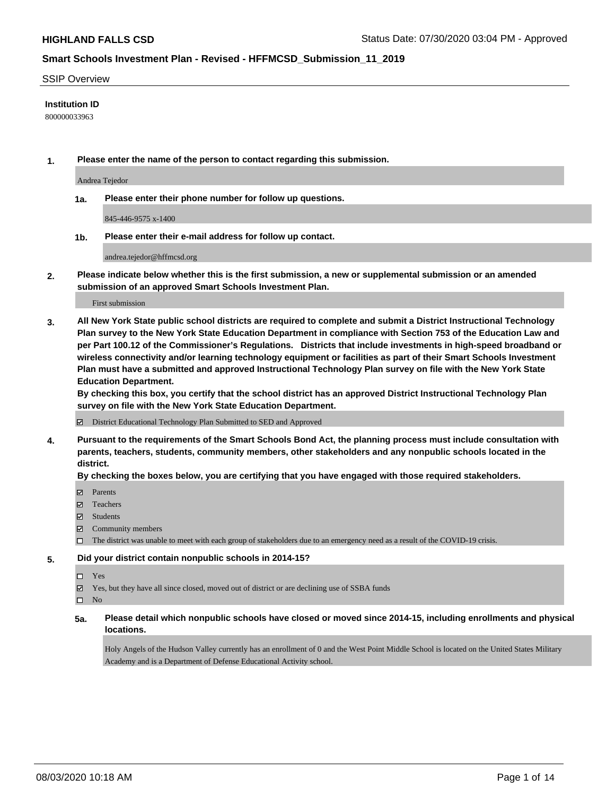#### SSIP Overview

#### **Institution ID**

800000033963

**1. Please enter the name of the person to contact regarding this submission.**

Andrea Tejedor

**1a. Please enter their phone number for follow up questions.**

845-446-9575 x-1400

**1b. Please enter their e-mail address for follow up contact.**

andrea.tejedor@hffmcsd.org

**2. Please indicate below whether this is the first submission, a new or supplemental submission or an amended submission of an approved Smart Schools Investment Plan.**

#### First submission

**3. All New York State public school districts are required to complete and submit a District Instructional Technology Plan survey to the New York State Education Department in compliance with Section 753 of the Education Law and per Part 100.12 of the Commissioner's Regulations. Districts that include investments in high-speed broadband or wireless connectivity and/or learning technology equipment or facilities as part of their Smart Schools Investment Plan must have a submitted and approved Instructional Technology Plan survey on file with the New York State Education Department.** 

**By checking this box, you certify that the school district has an approved District Instructional Technology Plan survey on file with the New York State Education Department.**

District Educational Technology Plan Submitted to SED and Approved

**4. Pursuant to the requirements of the Smart Schools Bond Act, the planning process must include consultation with parents, teachers, students, community members, other stakeholders and any nonpublic schools located in the district.** 

#### **By checking the boxes below, you are certifying that you have engaged with those required stakeholders.**

- **Ø** Parents
- Teachers
- Students
- $\boxtimes$  Community members
- The district was unable to meet with each group of stakeholders due to an emergency need as a result of the COVID-19 crisis.

#### **5. Did your district contain nonpublic schools in 2014-15?**

- $\neg$  Yes
- Yes, but they have all since closed, moved out of district or are declining use of SSBA funds

 $\square$  No

**5a. Please detail which nonpublic schools have closed or moved since 2014-15, including enrollments and physical locations.**

Holy Angels of the Hudson Valley currently has an enrollment of 0 and the West Point Middle School is located on the United States Military Academy and is a Department of Defense Educational Activity school.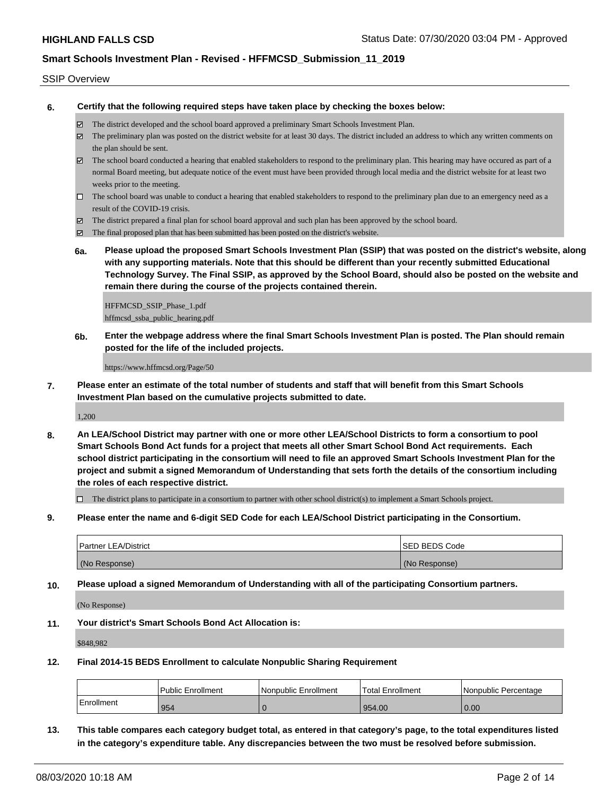#### SSIP Overview

**6. Certify that the following required steps have taken place by checking the boxes below:**

- The district developed and the school board approved a preliminary Smart Schools Investment Plan.
- $\boxtimes$  The preliminary plan was posted on the district website for at least 30 days. The district included an address to which any written comments on the plan should be sent.
- The school board conducted a hearing that enabled stakeholders to respond to the preliminary plan. This hearing may have occured as part of a normal Board meeting, but adequate notice of the event must have been provided through local media and the district website for at least two weeks prior to the meeting.
- $\Box$  The school board was unable to conduct a hearing that enabled stakeholders to respond to the preliminary plan due to an emergency need as a result of the COVID-19 crisis.
- The district prepared a final plan for school board approval and such plan has been approved by the school board.
- $\boxtimes$  The final proposed plan that has been submitted has been posted on the district's website.
- **6a. Please upload the proposed Smart Schools Investment Plan (SSIP) that was posted on the district's website, along with any supporting materials. Note that this should be different than your recently submitted Educational Technology Survey. The Final SSIP, as approved by the School Board, should also be posted on the website and remain there during the course of the projects contained therein.**

HFFMCSD\_SSIP\_Phase\_1.pdf hffmcsd\_ssba\_public\_hearing.pdf

**6b. Enter the webpage address where the final Smart Schools Investment Plan is posted. The Plan should remain posted for the life of the included projects.**

https://www.hffmcsd.org/Page/50

**7. Please enter an estimate of the total number of students and staff that will benefit from this Smart Schools Investment Plan based on the cumulative projects submitted to date.**

1,200

**8. An LEA/School District may partner with one or more other LEA/School Districts to form a consortium to pool Smart Schools Bond Act funds for a project that meets all other Smart School Bond Act requirements. Each school district participating in the consortium will need to file an approved Smart Schools Investment Plan for the project and submit a signed Memorandum of Understanding that sets forth the details of the consortium including the roles of each respective district.**

 $\Box$  The district plans to participate in a consortium to partner with other school district(s) to implement a Smart Schools project.

**9. Please enter the name and 6-digit SED Code for each LEA/School District participating in the Consortium.**

| <b>Partner LEA/District</b> | <b>ISED BEDS Code</b> |
|-----------------------------|-----------------------|
| (No Response)               | (No Response)         |

**10. Please upload a signed Memorandum of Understanding with all of the participating Consortium partners.**

(No Response)

**11. Your district's Smart Schools Bond Act Allocation is:**

\$848,982

**12. Final 2014-15 BEDS Enrollment to calculate Nonpublic Sharing Requirement**

|            | <b>Public Enrollment</b> | Nonpublic Enrollment | <sup>1</sup> Total Enrollment | l Nonpublic Percentage |
|------------|--------------------------|----------------------|-------------------------------|------------------------|
| Enrollment | 954                      |                      | 954.00                        | 0.00                   |

**13. This table compares each category budget total, as entered in that category's page, to the total expenditures listed in the category's expenditure table. Any discrepancies between the two must be resolved before submission.**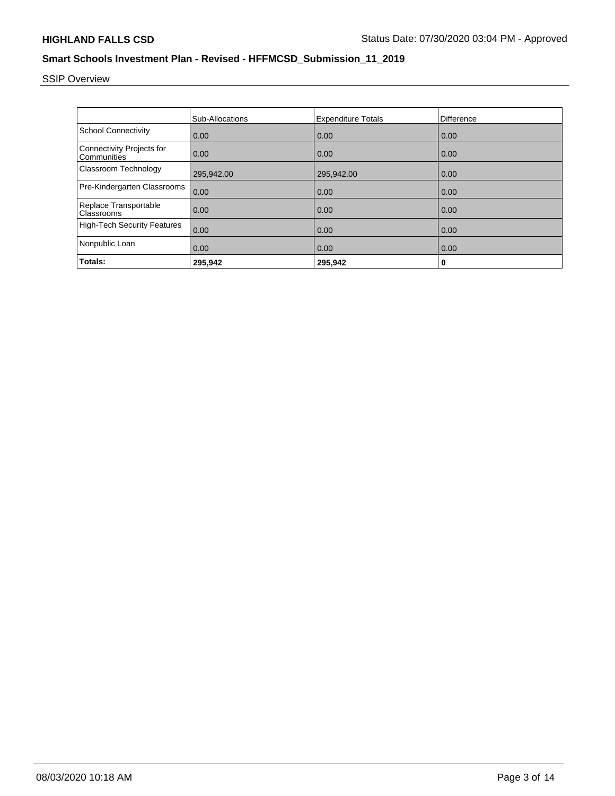# SSIP Overview

|                                                 | Sub-Allocations | <b>Expenditure Totals</b> | Difference |
|-------------------------------------------------|-----------------|---------------------------|------------|
| <b>School Connectivity</b>                      | 0.00            | 0.00                      | 0.00       |
| <b>Connectivity Projects for</b><br>Communities | 0.00            | 0.00                      | 0.00       |
| Classroom Technology                            | 295,942.00      | 295,942.00                | 0.00       |
| Pre-Kindergarten Classrooms                     | 0.00            | 0.00                      | 0.00       |
| Replace Transportable<br>Classrooms             | 0.00            | 0.00                      | 0.00       |
| <b>High-Tech Security Features</b>              | 0.00            | 0.00                      | 0.00       |
| Nonpublic Loan                                  | 0.00            | 0.00                      | 0.00       |
| Totals:                                         | 295.942         | 295,942                   | 0          |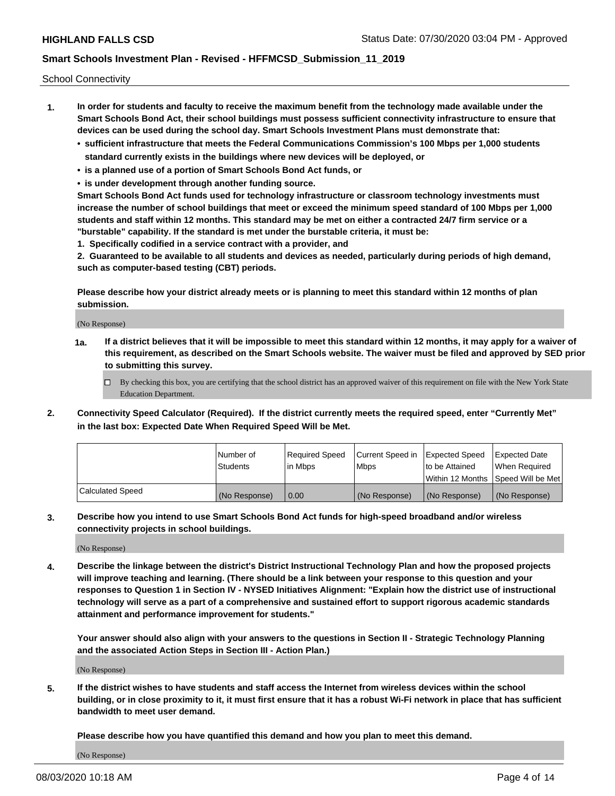School Connectivity

- **1. In order for students and faculty to receive the maximum benefit from the technology made available under the Smart Schools Bond Act, their school buildings must possess sufficient connectivity infrastructure to ensure that devices can be used during the school day. Smart Schools Investment Plans must demonstrate that:**
	- **• sufficient infrastructure that meets the Federal Communications Commission's 100 Mbps per 1,000 students standard currently exists in the buildings where new devices will be deployed, or**
	- **• is a planned use of a portion of Smart Schools Bond Act funds, or**
	- **• is under development through another funding source.**

**Smart Schools Bond Act funds used for technology infrastructure or classroom technology investments must increase the number of school buildings that meet or exceed the minimum speed standard of 100 Mbps per 1,000 students and staff within 12 months. This standard may be met on either a contracted 24/7 firm service or a "burstable" capability. If the standard is met under the burstable criteria, it must be:**

**1. Specifically codified in a service contract with a provider, and**

**2. Guaranteed to be available to all students and devices as needed, particularly during periods of high demand, such as computer-based testing (CBT) periods.**

**Please describe how your district already meets or is planning to meet this standard within 12 months of plan submission.**

(No Response)

**1a. If a district believes that it will be impossible to meet this standard within 12 months, it may apply for a waiver of this requirement, as described on the Smart Schools website. The waiver must be filed and approved by SED prior to submitting this survey.**

 $\Box$  By checking this box, you are certifying that the school district has an approved waiver of this requirement on file with the New York State Education Department.

**2. Connectivity Speed Calculator (Required). If the district currently meets the required speed, enter "Currently Met" in the last box: Expected Date When Required Speed Will be Met.**

|                  | l Number of     | Required Speed | Current Speed in | Expected Speed  | Expected Date                           |
|------------------|-----------------|----------------|------------------|-----------------|-----------------------------------------|
|                  | <b>Students</b> | In Mbps        | l Mbps           | to be Attained  | When Required                           |
|                  |                 |                |                  |                 | l Within 12 Months ISpeed Will be Met l |
| Calculated Speed | (No Response)   | 0.00           | (No Response)    | l (No Response) | l (No Response)                         |

**3. Describe how you intend to use Smart Schools Bond Act funds for high-speed broadband and/or wireless connectivity projects in school buildings.**

(No Response)

**4. Describe the linkage between the district's District Instructional Technology Plan and how the proposed projects will improve teaching and learning. (There should be a link between your response to this question and your responses to Question 1 in Section IV - NYSED Initiatives Alignment: "Explain how the district use of instructional technology will serve as a part of a comprehensive and sustained effort to support rigorous academic standards attainment and performance improvement for students."** 

**Your answer should also align with your answers to the questions in Section II - Strategic Technology Planning and the associated Action Steps in Section III - Action Plan.)**

(No Response)

**5. If the district wishes to have students and staff access the Internet from wireless devices within the school building, or in close proximity to it, it must first ensure that it has a robust Wi-Fi network in place that has sufficient bandwidth to meet user demand.**

**Please describe how you have quantified this demand and how you plan to meet this demand.**

(No Response)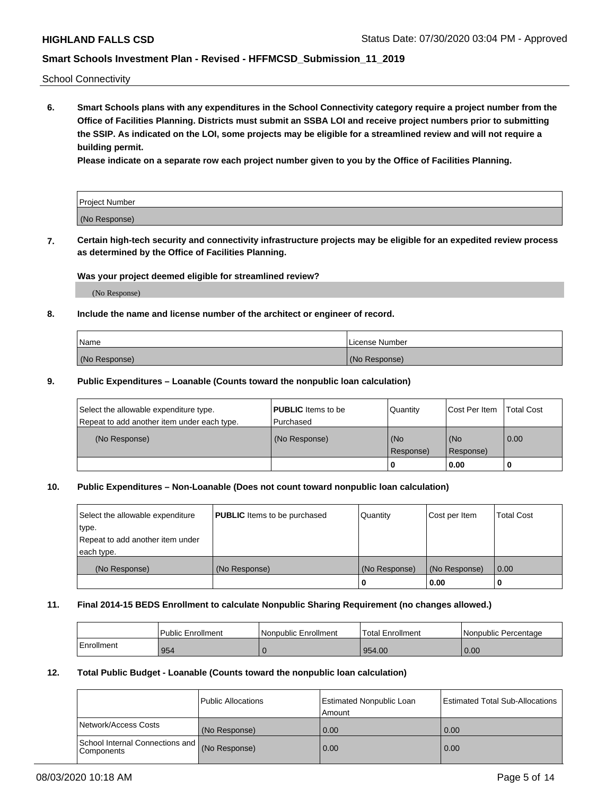School Connectivity

**6. Smart Schools plans with any expenditures in the School Connectivity category require a project number from the Office of Facilities Planning. Districts must submit an SSBA LOI and receive project numbers prior to submitting the SSIP. As indicated on the LOI, some projects may be eligible for a streamlined review and will not require a building permit.**

**Please indicate on a separate row each project number given to you by the Office of Facilities Planning.**

| Project Number |  |
|----------------|--|
| (No Response)  |  |

**7. Certain high-tech security and connectivity infrastructure projects may be eligible for an expedited review process as determined by the Office of Facilities Planning.**

#### **Was your project deemed eligible for streamlined review?**

(No Response)

#### **8. Include the name and license number of the architect or engineer of record.**

| Name          | License Number |
|---------------|----------------|
| (No Response) | (No Response)  |

#### **9. Public Expenditures – Loanable (Counts toward the nonpublic loan calculation)**

| Select the allowable expenditure type.<br>Repeat to add another item under each type. | <b>PUBLIC</b> Items to be<br>l Purchased | Quantity         | l Cost Per Item  | <b>Total Cost</b> |
|---------------------------------------------------------------------------------------|------------------------------------------|------------------|------------------|-------------------|
| (No Response)                                                                         | (No Response)                            | (No<br>Response) | (No<br>Response) | 0.00              |
|                                                                                       |                                          | 0                | 0.00             |                   |

### **10. Public Expenditures – Non-Loanable (Does not count toward nonpublic loan calculation)**

| Select the allowable expenditure<br>type.<br>Repeat to add another item under<br>each type. | <b>PUBLIC</b> Items to be purchased | Quantity      | Cost per Item | <b>Total Cost</b> |
|---------------------------------------------------------------------------------------------|-------------------------------------|---------------|---------------|-------------------|
| (No Response)                                                                               | (No Response)                       | (No Response) | (No Response) | 0.00              |
|                                                                                             |                                     |               | 0.00          |                   |

#### **11. Final 2014-15 BEDS Enrollment to calculate Nonpublic Sharing Requirement (no changes allowed.)**

|            | Public Enrollment | l Nonpublic Enrollment | <b>Total Enrollment</b> | Nonpublic Percentage |
|------------|-------------------|------------------------|-------------------------|----------------------|
| Enrollment | 954               |                        | 954.00                  | 0.00                 |

#### **12. Total Public Budget - Loanable (Counts toward the nonpublic loan calculation)**

|                                                      | Public Allocations | <b>Estimated Nonpublic Loan</b><br>Amount | Estimated Total Sub-Allocations |
|------------------------------------------------------|--------------------|-------------------------------------------|---------------------------------|
| Network/Access Costs                                 | (No Response)      | 0.00                                      | 0.00                            |
| School Internal Connections and<br><b>Components</b> | (No Response)      | 0.00                                      | 0.00                            |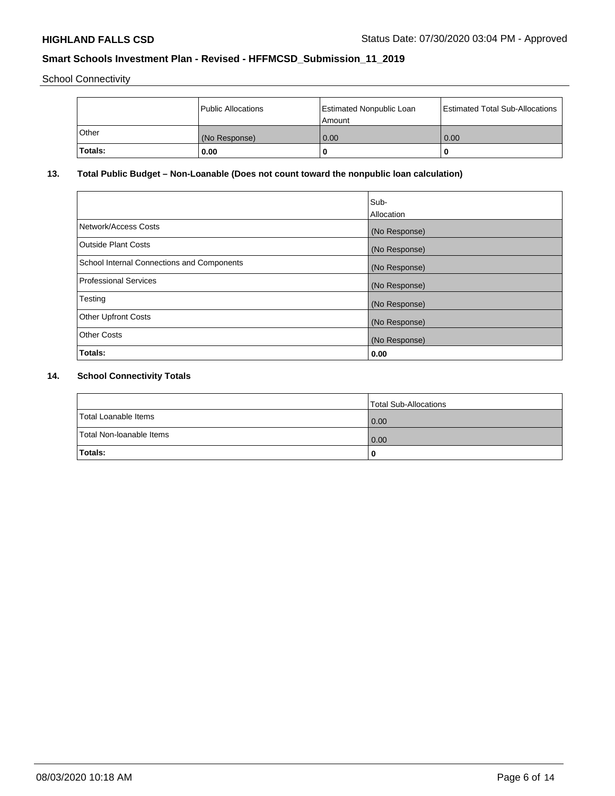School Connectivity

|                | Public Allocations | <b>Estimated Nonpublic Loan</b><br>l Amount | <b>Estimated Total Sub-Allocations</b> |
|----------------|--------------------|---------------------------------------------|----------------------------------------|
| l Other        | (No Response)      | 0.00                                        | 0.00                                   |
| <b>Totals:</b> | 0.00               | 0                                           |                                        |

## **13. Total Public Budget – Non-Loanable (Does not count toward the nonpublic loan calculation)**

|                                                   | Sub-<br>Allocation |
|---------------------------------------------------|--------------------|
|                                                   |                    |
| Network/Access Costs                              | (No Response)      |
| <b>Outside Plant Costs</b>                        | (No Response)      |
| <b>School Internal Connections and Components</b> | (No Response)      |
| Professional Services                             | (No Response)      |
| Testing                                           | (No Response)      |
| <b>Other Upfront Costs</b>                        | (No Response)      |
| <b>Other Costs</b>                                | (No Response)      |
| <b>Totals:</b>                                    | 0.00               |

# **14. School Connectivity Totals**

|                          | Total Sub-Allocations |
|--------------------------|-----------------------|
| Total Loanable Items     | 0.00                  |
| Total Non-Ioanable Items | 0.00                  |
| Totals:                  | 0                     |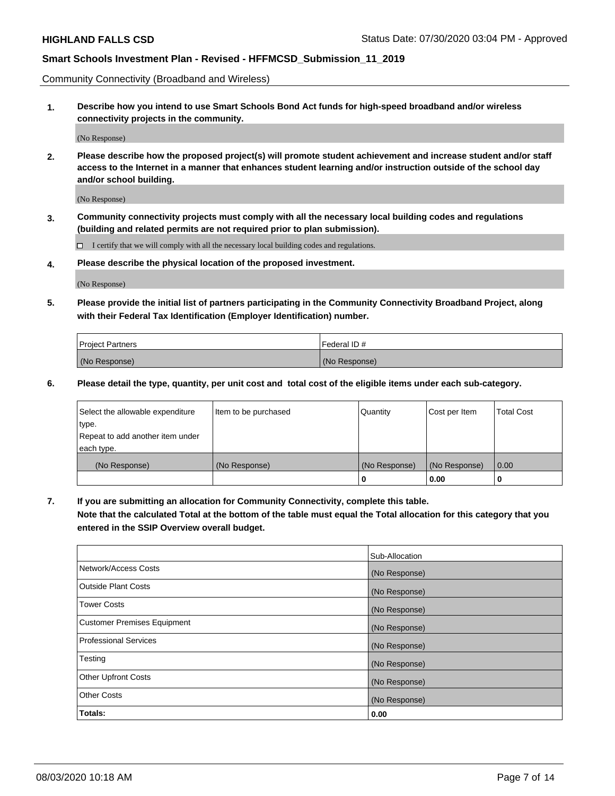Community Connectivity (Broadband and Wireless)

**1. Describe how you intend to use Smart Schools Bond Act funds for high-speed broadband and/or wireless connectivity projects in the community.**

(No Response)

**2. Please describe how the proposed project(s) will promote student achievement and increase student and/or staff access to the Internet in a manner that enhances student learning and/or instruction outside of the school day and/or school building.**

(No Response)

**3. Community connectivity projects must comply with all the necessary local building codes and regulations (building and related permits are not required prior to plan submission).**

 $\Box$  I certify that we will comply with all the necessary local building codes and regulations.

**4. Please describe the physical location of the proposed investment.**

(No Response)

**5. Please provide the initial list of partners participating in the Community Connectivity Broadband Project, along with their Federal Tax Identification (Employer Identification) number.**

| <b>Project Partners</b> | l Federal ID # |
|-------------------------|----------------|
| (No Response)           | (No Response)  |

**6. Please detail the type, quantity, per unit cost and total cost of the eligible items under each sub-category.**

| Select the allowable expenditure | Item to be purchased | Quantity      | Cost per Item | <b>Total Cost</b> |
|----------------------------------|----------------------|---------------|---------------|-------------------|
| type.                            |                      |               |               |                   |
| Repeat to add another item under |                      |               |               |                   |
| each type.                       |                      |               |               |                   |
| (No Response)                    | (No Response)        | (No Response) | (No Response) | 0.00              |
|                                  |                      | U             | 0.00          | -0                |

**7. If you are submitting an allocation for Community Connectivity, complete this table.**

**Note that the calculated Total at the bottom of the table must equal the Total allocation for this category that you entered in the SSIP Overview overall budget.**

|                                    | Sub-Allocation |
|------------------------------------|----------------|
| Network/Access Costs               | (No Response)  |
| Outside Plant Costs                | (No Response)  |
| <b>Tower Costs</b>                 | (No Response)  |
| <b>Customer Premises Equipment</b> | (No Response)  |
| <b>Professional Services</b>       | (No Response)  |
| Testing                            | (No Response)  |
| <b>Other Upfront Costs</b>         | (No Response)  |
| <b>Other Costs</b>                 | (No Response)  |
| Totals:                            | 0.00           |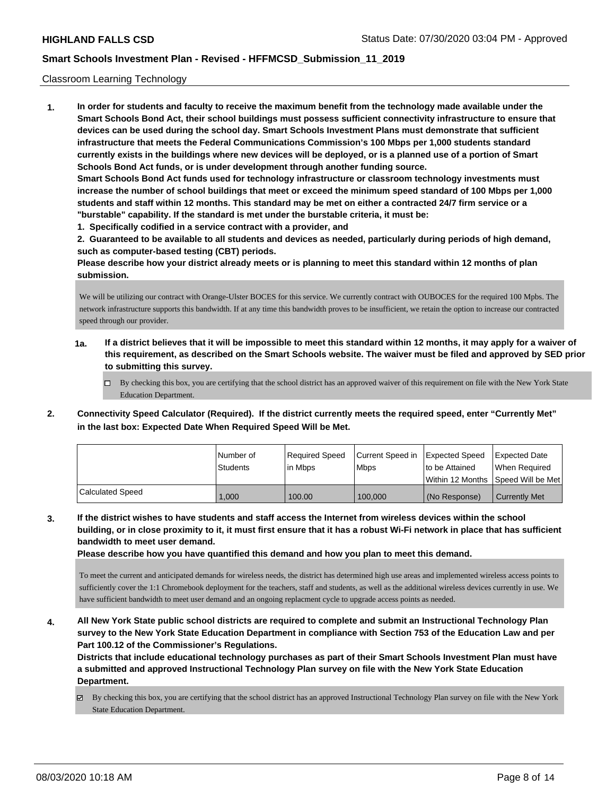#### Classroom Learning Technology

**1. In order for students and faculty to receive the maximum benefit from the technology made available under the Smart Schools Bond Act, their school buildings must possess sufficient connectivity infrastructure to ensure that devices can be used during the school day. Smart Schools Investment Plans must demonstrate that sufficient infrastructure that meets the Federal Communications Commission's 100 Mbps per 1,000 students standard currently exists in the buildings where new devices will be deployed, or is a planned use of a portion of Smart Schools Bond Act funds, or is under development through another funding source. Smart Schools Bond Act funds used for technology infrastructure or classroom technology investments must increase the number of school buildings that meet or exceed the minimum speed standard of 100 Mbps per 1,000 students and staff within 12 months. This standard may be met on either a contracted 24/7 firm service or a**

- **"burstable" capability. If the standard is met under the burstable criteria, it must be:**
- **1. Specifically codified in a service contract with a provider, and**

**2. Guaranteed to be available to all students and devices as needed, particularly during periods of high demand, such as computer-based testing (CBT) periods.**

**Please describe how your district already meets or is planning to meet this standard within 12 months of plan submission.**

We will be utilizing our contract with Orange-Ulster BOCES for this service. We currently contract with OUBOCES for the required 100 Mpbs. The network infrastructure supports this bandwidth. If at any time this bandwidth proves to be insufficient, we retain the option to increase our contracted speed through our provider.

**1a. If a district believes that it will be impossible to meet this standard within 12 months, it may apply for a waiver of this requirement, as described on the Smart Schools website. The waiver must be filed and approved by SED prior to submitting this survey.**

By checking this box, you are certifying that the school district has an approved waiver of this requirement on file with the New York State Education Department.

**2. Connectivity Speed Calculator (Required). If the district currently meets the required speed, enter "Currently Met" in the last box: Expected Date When Required Speed Will be Met.**

|                  | l Number of     | Required Speed | Current Speed in Expected Speed |                 | Expected Date                      |
|------------------|-----------------|----------------|---------------------------------|-----------------|------------------------------------|
|                  | <b>Students</b> | In Mbps        | l Mbps                          | Ito be Attained | When Required                      |
|                  |                 |                |                                 |                 | Within 12 Months Speed Will be Met |
| Calculated Speed | 1.000           | 100.00         | 100.000                         | (No Response)   | <b>Currently Met</b>               |

**3. If the district wishes to have students and staff access the Internet from wireless devices within the school building, or in close proximity to it, it must first ensure that it has a robust Wi-Fi network in place that has sufficient bandwidth to meet user demand.**

**Please describe how you have quantified this demand and how you plan to meet this demand.**

To meet the current and anticipated demands for wireless needs, the district has determined high use areas and implemented wireless access points to sufficiently cover the 1:1 Chromebook deployment for the teachers, staff and students, as well as the additional wireless devices currently in use. We have sufficient bandwidth to meet user demand and an ongoing replacment cycle to upgrade access points as needed.

**4. All New York State public school districts are required to complete and submit an Instructional Technology Plan survey to the New York State Education Department in compliance with Section 753 of the Education Law and per Part 100.12 of the Commissioner's Regulations.**

**Districts that include educational technology purchases as part of their Smart Schools Investment Plan must have a submitted and approved Instructional Technology Plan survey on file with the New York State Education Department.**

By checking this box, you are certifying that the school district has an approved Instructional Technology Plan survey on file with the New York State Education Department.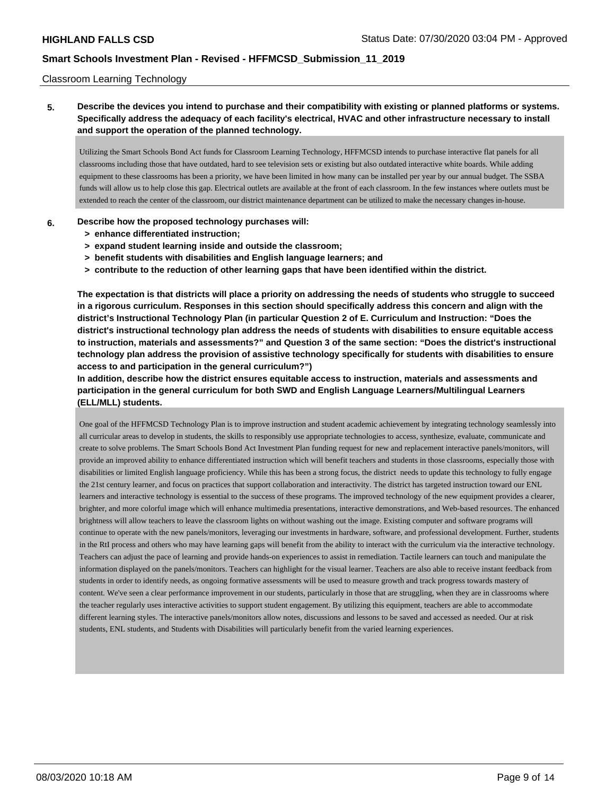#### Classroom Learning Technology

## **5. Describe the devices you intend to purchase and their compatibility with existing or planned platforms or systems. Specifically address the adequacy of each facility's electrical, HVAC and other infrastructure necessary to install and support the operation of the planned technology.**

Utilizing the Smart Schools Bond Act funds for Classroom Learning Technology, HFFMCSD intends to purchase interactive flat panels for all classrooms including those that have outdated, hard to see television sets or existing but also outdated interactive white boards. While adding equipment to these classrooms has been a priority, we have been limited in how many can be installed per year by our annual budget. The SSBA funds will allow us to help close this gap. Electrical outlets are available at the front of each classroom. In the few instances where outlets must be extended to reach the center of the classroom, our district maintenance department can be utilized to make the necessary changes in-house.

#### **6. Describe how the proposed technology purchases will:**

- **> enhance differentiated instruction;**
- **> expand student learning inside and outside the classroom;**
- **> benefit students with disabilities and English language learners; and**
- **> contribute to the reduction of other learning gaps that have been identified within the district.**

**The expectation is that districts will place a priority on addressing the needs of students who struggle to succeed in a rigorous curriculum. Responses in this section should specifically address this concern and align with the district's Instructional Technology Plan (in particular Question 2 of E. Curriculum and Instruction: "Does the district's instructional technology plan address the needs of students with disabilities to ensure equitable access to instruction, materials and assessments?" and Question 3 of the same section: "Does the district's instructional technology plan address the provision of assistive technology specifically for students with disabilities to ensure access to and participation in the general curriculum?")**

**In addition, describe how the district ensures equitable access to instruction, materials and assessments and participation in the general curriculum for both SWD and English Language Learners/Multilingual Learners (ELL/MLL) students.**

One goal of the HFFMCSD Technology Plan is to improve instruction and student academic achievement by integrating technology seamlessly into all curricular areas to develop in students, the skills to responsibly use appropriate technologies to access, synthesize, evaluate, communicate and create to solve problems. The Smart Schools Bond Act Investment Plan funding request for new and replacement interactive panels/monitors, will provide an improved ability to enhance differentiated instruction which will benefit teachers and students in those classrooms, especially those with disabilities or limited English language proficiency. While this has been a strong focus, the district needs to update this technology to fully engage the 21st century learner, and focus on practices that support collaboration and interactivity. The district has targeted instruction toward our ENL learners and interactive technology is essential to the success of these programs. The improved technology of the new equipment provides a clearer, brighter, and more colorful image which will enhance multimedia presentations, interactive demonstrations, and Web-based resources. The enhanced brightness will allow teachers to leave the classroom lights on without washing out the image. Existing computer and software programs will continue to operate with the new panels/monitors, leveraging our investments in hardware, software, and professional development. Further, students in the RtI process and others who may have learning gaps will benefit from the ability to interact with the curriculum via the interactive technology. Teachers can adjust the pace of learning and provide hands-on experiences to assist in remediation. Tactile learners can touch and manipulate the information displayed on the panels/monitors. Teachers can highlight for the visual learner. Teachers are also able to receive instant feedback from students in order to identify needs, as ongoing formative assessments will be used to measure growth and track progress towards mastery of content. We've seen a clear performance improvement in our students, particularly in those that are struggling, when they are in classrooms where the teacher regularly uses interactive activities to support student engagement. By utilizing this equipment, teachers are able to accommodate different learning styles. The interactive panels/monitors allow notes, discussions and lessons to be saved and accessed as needed. Our at risk students, ENL students, and Students with Disabilities will particularly benefit from the varied learning experiences.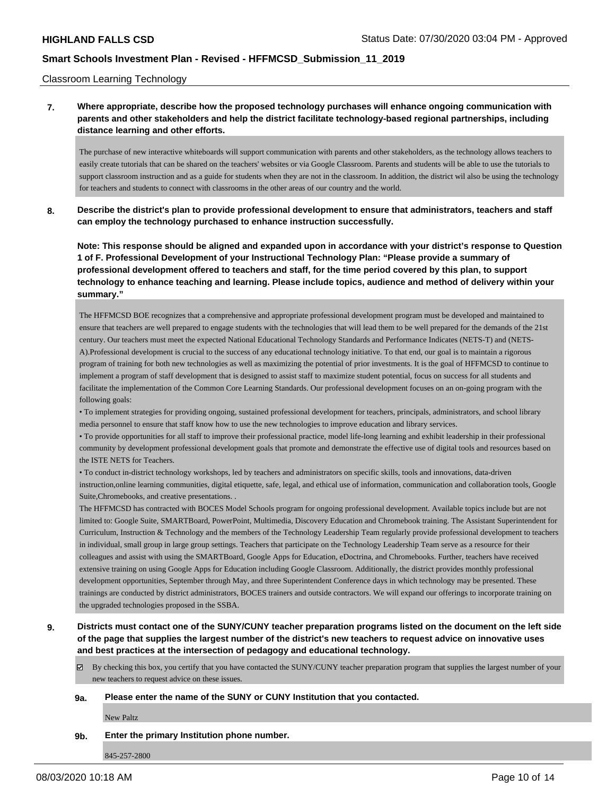Classroom Learning Technology

### **7. Where appropriate, describe how the proposed technology purchases will enhance ongoing communication with parents and other stakeholders and help the district facilitate technology-based regional partnerships, including distance learning and other efforts.**

The purchase of new interactive whiteboards will support communication with parents and other stakeholders, as the technology allows teachers to easily create tutorials that can be shared on the teachers' websites or via Google Classroom. Parents and students will be able to use the tutorials to support classroom instruction and as a guide for students when they are not in the classroom. In addition, the district wil also be using the technology for teachers and students to connect with classrooms in the other areas of our country and the world.

**8. Describe the district's plan to provide professional development to ensure that administrators, teachers and staff can employ the technology purchased to enhance instruction successfully.**

**Note: This response should be aligned and expanded upon in accordance with your district's response to Question 1 of F. Professional Development of your Instructional Technology Plan: "Please provide a summary of professional development offered to teachers and staff, for the time period covered by this plan, to support technology to enhance teaching and learning. Please include topics, audience and method of delivery within your summary."**

The HFFMCSD BOE recognizes that a comprehensive and appropriate professional development program must be developed and maintained to ensure that teachers are well prepared to engage students with the technologies that will lead them to be well prepared for the demands of the 21st century. Our teachers must meet the expected National Educational Technology Standards and Performance Indicates (NETS-T) and (NETS-A).Professional development is crucial to the success of any educational technology initiative. To that end, our goal is to maintain a rigorous program of training for both new technologies as well as maximizing the potential of prior investments. It is the goal of HFFMCSD to continue to implement a program of staff development that is designed to assist staff to maximize student potential, focus on success for all students and facilitate the implementation of the Common Core Learning Standards. Our professional development focuses on an on-going program with the following goals:

• To implement strategies for providing ongoing, sustained professional development for teachers, principals, administrators, and school library media personnel to ensure that staff know how to use the new technologies to improve education and library services.

• To provide opportunities for all staff to improve their professional practice, model life-long learning and exhibit leadership in their professional community by development professional development goals that promote and demonstrate the effective use of digital tools and resources based on the ISTE NETS for Teachers.

• To conduct in-district technology workshops, led by teachers and administrators on specific skills, tools and innovations, data-driven instruction,online learning communities, digital etiquette, safe, legal, and ethical use of information, communication and collaboration tools, Google Suite,Chromebooks, and creative presentations. .

The HFFMCSD has contracted with BOCES Model Schools program for ongoing professional development. Available topics include but are not limited to: Google Suite, SMARTBoard, PowerPoint, Multimedia, Discovery Education and Chromebook training. The Assistant Superintendent for Curriculum, Instruction & Technology and the members of the Technology Leadership Team regularly provide professional development to teachers in individual, small group in large group settings. Teachers that participate on the Technology Leadership Team serve as a resource for their colleagues and assist with using the SMARTBoard, Google Apps for Education, eDoctrina, and Chromebooks. Further, teachers have received extensive training on using Google Apps for Education including Google Classroom. Additionally, the district provides monthly professional development opportunities, September through May, and three Superintendent Conference days in which technology may be presented. These trainings are conducted by district administrators, BOCES trainers and outside contractors. We will expand our offerings to incorporate training on the upgraded technologies proposed in the SSBA.

# **9. Districts must contact one of the SUNY/CUNY teacher preparation programs listed on the document on the left side of the page that supplies the largest number of the district's new teachers to request advice on innovative uses and best practices at the intersection of pedagogy and educational technology.**

By checking this box, you certify that you have contacted the SUNY/CUNY teacher preparation program that supplies the largest number of your new teachers to request advice on these issues.

#### **9a. Please enter the name of the SUNY or CUNY Institution that you contacted.**

New Paltz

#### **9b. Enter the primary Institution phone number.**

845-257-2800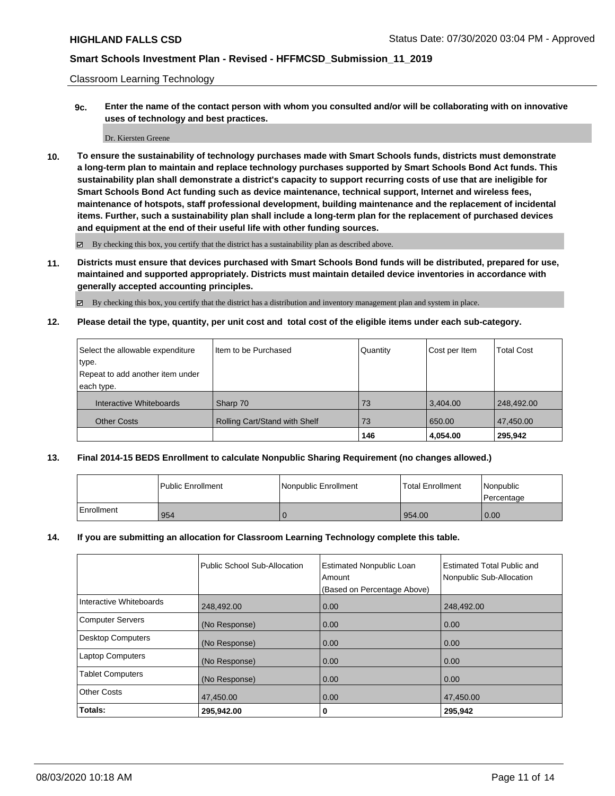Classroom Learning Technology

**9c. Enter the name of the contact person with whom you consulted and/or will be collaborating with on innovative uses of technology and best practices.**

#### Dr. Kiersten Greene

**10. To ensure the sustainability of technology purchases made with Smart Schools funds, districts must demonstrate a long-term plan to maintain and replace technology purchases supported by Smart Schools Bond Act funds. This sustainability plan shall demonstrate a district's capacity to support recurring costs of use that are ineligible for Smart Schools Bond Act funding such as device maintenance, technical support, Internet and wireless fees, maintenance of hotspots, staff professional development, building maintenance and the replacement of incidental items. Further, such a sustainability plan shall include a long-term plan for the replacement of purchased devices and equipment at the end of their useful life with other funding sources.**

By checking this box, you certify that the district has a sustainability plan as described above.

**11. Districts must ensure that devices purchased with Smart Schools Bond funds will be distributed, prepared for use, maintained and supported appropriately. Districts must maintain detailed device inventories in accordance with generally accepted accounting principles.**

By checking this box, you certify that the district has a distribution and inventory management plan and system in place.

**12. Please detail the type, quantity, per unit cost and total cost of the eligible items under each sub-category.**

| Select the allowable expenditure | I Item to be Purchased        | Quantity | Cost per Item | <b>Total Cost</b> |
|----------------------------------|-------------------------------|----------|---------------|-------------------|
| type.                            |                               |          |               |                   |
| Repeat to add another item under |                               |          |               |                   |
| each type.                       |                               |          |               |                   |
| Interactive Whiteboards          | Sharp 70                      | 73       | 3.404.00      | 248,492.00        |
| <b>Other Costs</b>               | Rolling Cart/Stand with Shelf | 73       | 650.00        | 47.450.00         |
|                                  |                               | 146      | 4,054.00      | 295,942           |

#### **13. Final 2014-15 BEDS Enrollment to calculate Nonpublic Sharing Requirement (no changes allowed.)**

|            | l Public Enrollment | l Nonpublic Enrollment | <b>Total Enrollment</b> | Nonpublic<br>Percentage |
|------------|---------------------|------------------------|-------------------------|-------------------------|
| Enrollment | 954                 | ъ                      | 954.00                  | 0.00                    |

#### **14. If you are submitting an allocation for Classroom Learning Technology complete this table.**

|                         | Public School Sub-Allocation | <b>Estimated Nonpublic Loan</b><br>Amount | <b>Estimated Total Public and</b><br>Nonpublic Sub-Allocation |
|-------------------------|------------------------------|-------------------------------------------|---------------------------------------------------------------|
|                         |                              | (Based on Percentage Above)               |                                                               |
| Interactive Whiteboards | 248.492.00                   | 0.00                                      | 248,492.00                                                    |
| <b>Computer Servers</b> | (No Response)                | 0.00                                      | 0.00                                                          |
| Desktop Computers       | (No Response)                | 0.00                                      | 0.00                                                          |
| <b>Laptop Computers</b> | (No Response)                | 0.00                                      | 0.00                                                          |
| <b>Tablet Computers</b> | (No Response)                | 0.00                                      | 0.00                                                          |
| <b>Other Costs</b>      | 47,450.00                    | 0.00                                      | 47,450.00                                                     |
| Totals:                 | 295,942.00                   | 0                                         | 295,942                                                       |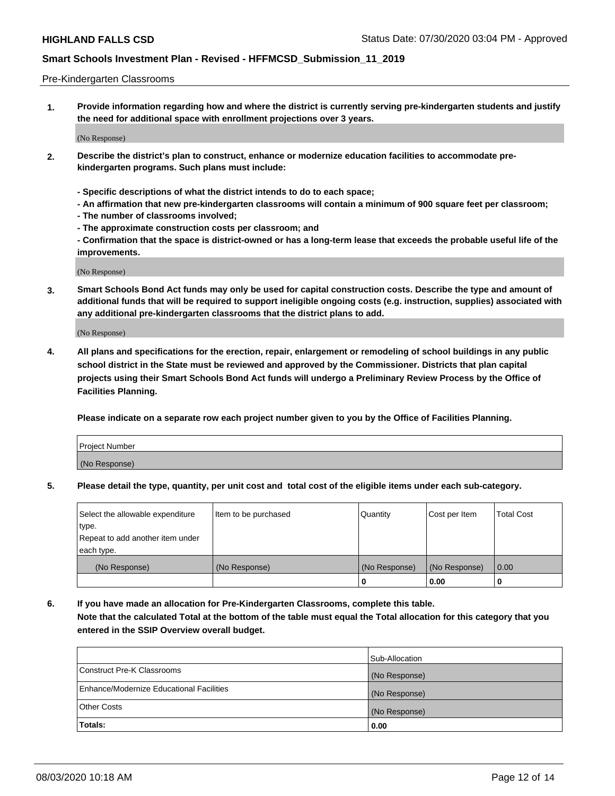#### Pre-Kindergarten Classrooms

**1. Provide information regarding how and where the district is currently serving pre-kindergarten students and justify the need for additional space with enrollment projections over 3 years.**

(No Response)

- **2. Describe the district's plan to construct, enhance or modernize education facilities to accommodate prekindergarten programs. Such plans must include:**
	- **Specific descriptions of what the district intends to do to each space;**
	- **An affirmation that new pre-kindergarten classrooms will contain a minimum of 900 square feet per classroom;**
	- **The number of classrooms involved;**
	- **The approximate construction costs per classroom; and**
	- **Confirmation that the space is district-owned or has a long-term lease that exceeds the probable useful life of the improvements.**

(No Response)

**3. Smart Schools Bond Act funds may only be used for capital construction costs. Describe the type and amount of additional funds that will be required to support ineligible ongoing costs (e.g. instruction, supplies) associated with any additional pre-kindergarten classrooms that the district plans to add.**

(No Response)

**4. All plans and specifications for the erection, repair, enlargement or remodeling of school buildings in any public school district in the State must be reviewed and approved by the Commissioner. Districts that plan capital projects using their Smart Schools Bond Act funds will undergo a Preliminary Review Process by the Office of Facilities Planning.**

**Please indicate on a separate row each project number given to you by the Office of Facilities Planning.**

| Project Number |  |
|----------------|--|
| (No Response)  |  |
|                |  |

**5. Please detail the type, quantity, per unit cost and total cost of the eligible items under each sub-category.**

| Select the allowable expenditure | Item to be purchased | Quantity      | Cost per Item | <b>Total Cost</b> |
|----------------------------------|----------------------|---------------|---------------|-------------------|
| type.                            |                      |               |               |                   |
| Repeat to add another item under |                      |               |               |                   |
| each type.                       |                      |               |               |                   |
| (No Response)                    | (No Response)        | (No Response) | (No Response) | 0.00              |
|                                  |                      | υ             | 0.00          |                   |

**6. If you have made an allocation for Pre-Kindergarten Classrooms, complete this table. Note that the calculated Total at the bottom of the table must equal the Total allocation for this category that you entered in the SSIP Overview overall budget.**

|                                          | Sub-Allocation |
|------------------------------------------|----------------|
| Construct Pre-K Classrooms               | (No Response)  |
| Enhance/Modernize Educational Facilities | (No Response)  |
| <b>Other Costs</b>                       | (No Response)  |
| Totals:                                  | 0.00           |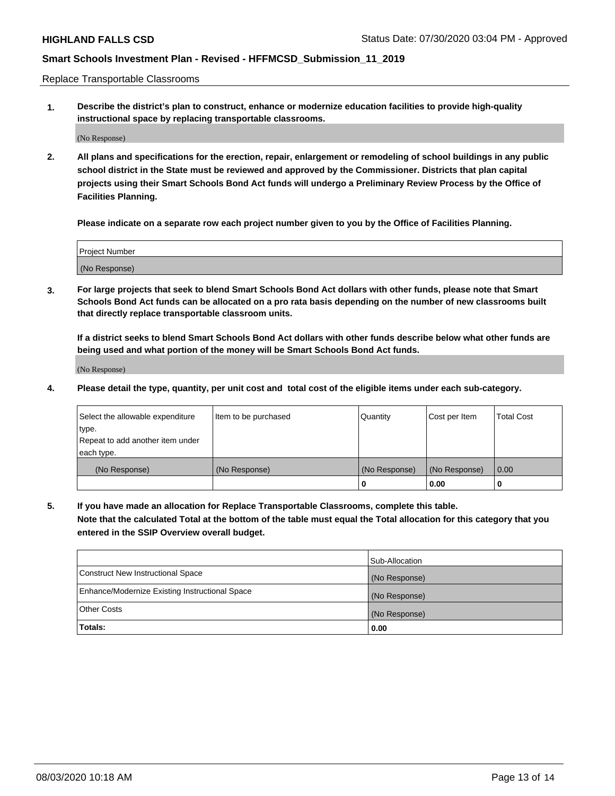Replace Transportable Classrooms

**1. Describe the district's plan to construct, enhance or modernize education facilities to provide high-quality instructional space by replacing transportable classrooms.**

(No Response)

**2. All plans and specifications for the erection, repair, enlargement or remodeling of school buildings in any public school district in the State must be reviewed and approved by the Commissioner. Districts that plan capital projects using their Smart Schools Bond Act funds will undergo a Preliminary Review Process by the Office of Facilities Planning.**

**Please indicate on a separate row each project number given to you by the Office of Facilities Planning.**

| Project Number |  |
|----------------|--|
|                |  |
| (No Response)  |  |

**3. For large projects that seek to blend Smart Schools Bond Act dollars with other funds, please note that Smart Schools Bond Act funds can be allocated on a pro rata basis depending on the number of new classrooms built that directly replace transportable classroom units.**

**If a district seeks to blend Smart Schools Bond Act dollars with other funds describe below what other funds are being used and what portion of the money will be Smart Schools Bond Act funds.**

(No Response)

**4. Please detail the type, quantity, per unit cost and total cost of the eligible items under each sub-category.**

| Select the allowable expenditure           | Item to be purchased | Quantity      | Cost per Item | <b>Total Cost</b> |
|--------------------------------------------|----------------------|---------------|---------------|-------------------|
| ∣type.<br>Repeat to add another item under |                      |               |               |                   |
| each type.                                 |                      |               |               |                   |
| (No Response)                              | (No Response)        | (No Response) | (No Response) | 0.00              |
|                                            |                      | 0             | 0.00          |                   |

**5. If you have made an allocation for Replace Transportable Classrooms, complete this table. Note that the calculated Total at the bottom of the table must equal the Total allocation for this category that you entered in the SSIP Overview overall budget.**

|                                                | Sub-Allocation |
|------------------------------------------------|----------------|
| Construct New Instructional Space              | (No Response)  |
| Enhance/Modernize Existing Instructional Space | (No Response)  |
| <b>Other Costs</b>                             | (No Response)  |
| Totals:                                        | 0.00           |